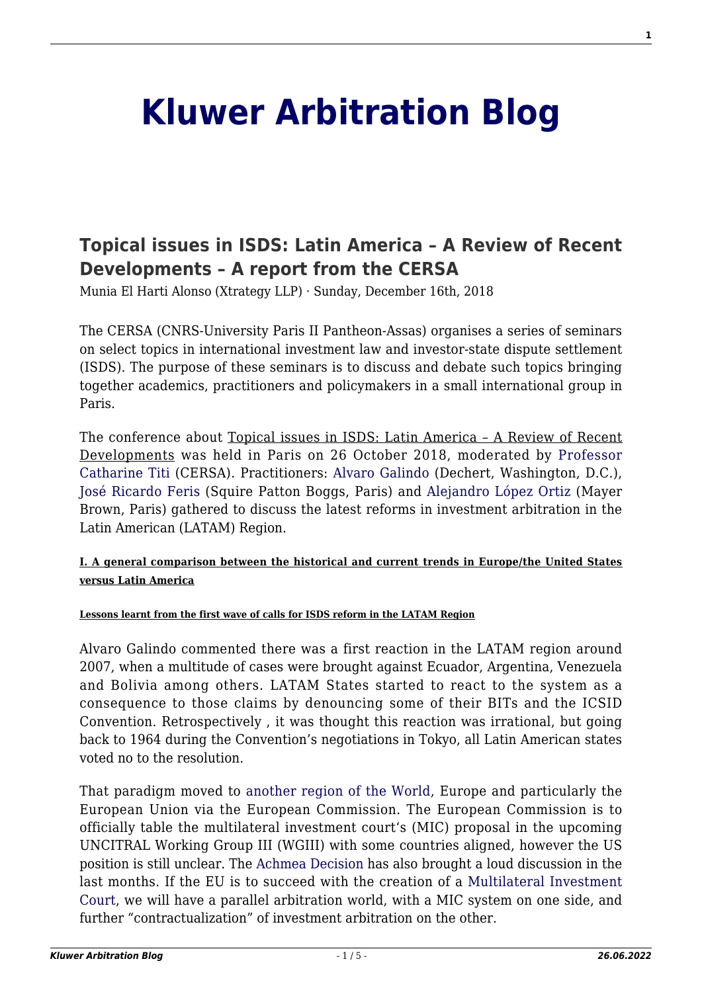# **[Kluwer Arbitration Blog](http://arbitrationblog.kluwerarbitration.com/)**

# **[Topical issues in ISDS: Latin America – A Review of Recent](http://arbitrationblog.kluwerarbitration.com/2018/12/16/topical-issues-in-isds-latin-america/) [Developments – A report from the CERSA](http://arbitrationblog.kluwerarbitration.com/2018/12/16/topical-issues-in-isds-latin-america/)**

Munia El Harti Alonso (Xtrategy LLP) · Sunday, December 16th, 2018

The CERSA (CNRS-University Paris II Pantheon-Assas) organises a series of seminars on select topics in international investment law and investor-state dispute settlement (ISDS). The purpose of these seminars is to discuss and debate such topics bringing together academics, practitioners and policymakers in a small international group in Paris.

The conference about Topical issues in ISDS: Latin America – A Review of Recent Developments was held in Paris on 26 October 2018, moderated by [Professor](http://cersa.cnrs.fr/titi-catharine/) [Catharine Titi](http://cersa.cnrs.fr/titi-catharine/) (CERSA). Practitioners: [Alvaro Galindo](https://www.dechert.com/people/g/alvaro-galindo.html) (Dechert, Washington, D.C.), [José Ricardo Feris](https://www.squirepattonboggs.com/en/professionals/f/feris-jose) (Squire Patton Boggs, Paris) and [Alejandro López Ortiz](https://www.mayerbrown.com/people/alejandro-lopez-ortiz/) (Mayer Brown, Paris) gathered to discuss the latest reforms in investment arbitration in the Latin American (LATAM) Region.

# **I. A general comparison between the historical and current trends in Europe/the United States versus Latin America**

#### **Lessons learnt from the first wave of calls for ISDS reform in the LATAM Region**

Alvaro Galindo commented there was a first reaction in the LATAM region around 2007, when a multitude of cases were brought against Ecuador, Argentina, Venezuela and Bolivia among others. LATAM States started to react to the system as a consequence to those claims by denouncing some of their BITs and the ICSID Convention. Retrospectively , it was thought this reaction was irrational, but going back to 1964 during the Convention's negotiations in Tokyo, all Latin American states voted no to the resolution.

That paradigm moved to [another region of the World](http://arbitrationblog.kluwerarbitration.com//arbitrationblog.kluwerarbitration.com/2014/07/08/is-the-focus-of-investment-state-arbitration-switching-from-latin-america-if-so-to-where/), Europe and particularly the European Union via the European Commission. The European Commission is to officially table the multilateral investment court's (MIC) proposal in the upcoming UNCITRAL Working Group III (WGIII) with some countries aligned, however the US position is still unclear. The [Achmea Decision](http://arbitrationblog.kluwerarbitration.com/2018/03/07/the-judgment-of-the-cjeu-in-slovak-republic-v-achmea/) has also brought a loud discussion in the last months. If the EU is to succeed with the creation of a [Multilateral Investment](https://eur-lex.europa.eu/legal-content/en/TXT/?uri=CELEX:52017PC0493) [Court](https://eur-lex.europa.eu/legal-content/en/TXT/?uri=CELEX:52017PC0493), we will have a parallel arbitration world, with a MIC system on one side, and further "contractualization" of investment arbitration on the other.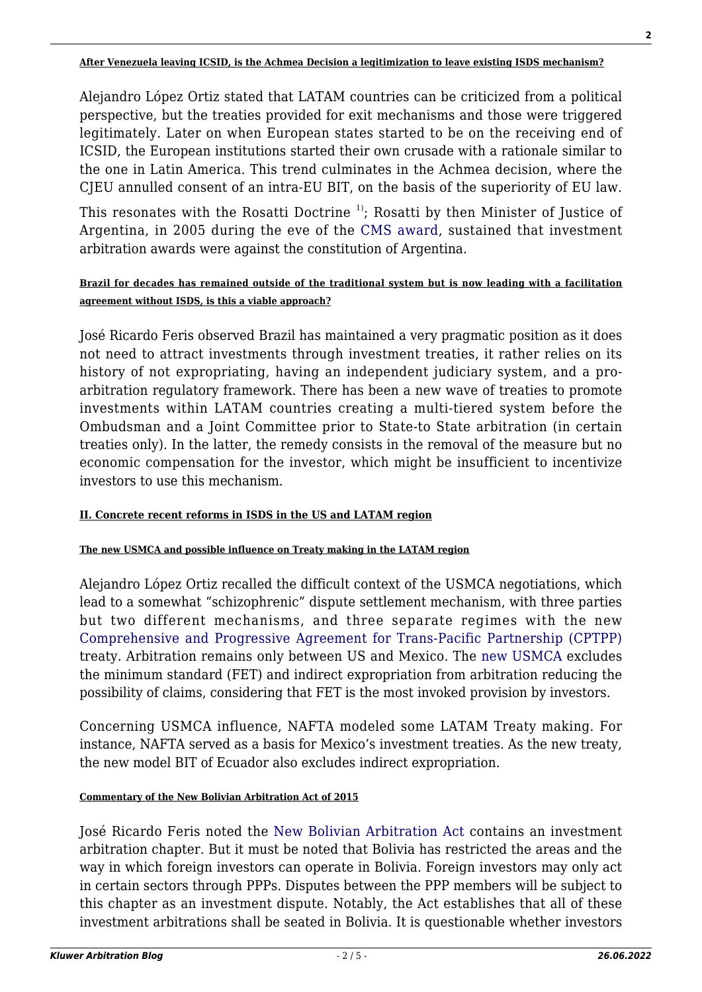Alejandro López Ortiz stated that LATAM countries can be criticized from a political perspective, but the treaties provided for exit mechanisms and those were triggered legitimately. Later on when European states started to be on the receiving end of ICSID, the European institutions started their own crusade with a rationale similar to the one in Latin America. This trend culminates in the Achmea decision, where the CJEU annulled consent of an intra-EU BIT, on the basis of the superiority of EU law.

This resonates with the Rosatti Doctrine  $\frac{1}{1}$ ; Rosatti by then Minister of Justice of Argentina, in 2005 during the eve of the [CMS award](https://www.italaw.com/sites/default/files/case-documents/ita0184.pdf), sustained that investment arbitration awards were against the constitution of Argentina.

## **Brazil for decades has remained outside of the traditional system but is now leading with a facilitation agreement without ISDS, is this a viable approach?**

José Ricardo Feris observed Brazil has maintained a very pragmatic position as it does not need to attract investments through investment treaties, it rather relies on its history of not expropriating, having an independent judiciary system, and a proarbitration regulatory framework. There has been a new wave of treaties to promote investments within LATAM countries creating a multi-tiered system before the Ombudsman and a Joint Committee prior to State-to State arbitration (in certain treaties only). In the latter, the remedy consists in the removal of the measure but no economic compensation for the investor, which might be insufficient to incentivize investors to use this mechanism.

# **II. Concrete recent reforms in ISDS in the US and LATAM region**

#### **The new USMCA and possible influence on Treaty making in the LATAM region**

Alejandro López Ortiz recalled the difficult context of the USMCA negotiations, which lead to a somewhat "schizophrenic" dispute settlement mechanism, with three parties but two different mechanisms, and three separate regimes with the new [Comprehensive and Progressive Agreement for Trans-Pacific Partnership \(CPTPP\)](https://international.gc.ca/trade-commerce/trade-agreements-accords-commerciaux/agr-acc/cptpp-ptpgp/index.aspx?lang=eng) treaty. Arbitration remains only between US and Mexico. The [new USMCA](http://arbitrationblog.kluwerarbitration.com//arbitrationblog.kluwerarbitration.com/2018/10/05/whats-in-a-name-change-for-investment-claims-under-the-new-usmca-instead-of-nafta-nearly-everything/) excludes the minimum standard (FET) and indirect expropriation from arbitration reducing the possibility of claims, considering that FET is the most invoked provision by investors.

Concerning USMCA influence, NAFTA modeled some LATAM Treaty making. For instance, NAFTA served as a basis for Mexico's investment treaties. As the new treaty, the new model BIT of Ecuador also excludes indirect expropriation.

#### **Commentary of the New Bolivian Arbitration Act of 2015**

José Ricardo Feris noted the [New Bolivian Arbitration Act](http://www.procuraduria.gob.bo/images/docs/Ley%20de%20Conciliacion%20y%20Arbitraje.pdf) contains an investment arbitration chapter. But it must be noted that Bolivia has restricted the areas and the way in which foreign investors can operate in Bolivia. Foreign investors may only act in certain sectors through PPPs. Disputes between the PPP members will be subject to this chapter as an investment dispute. Notably, the Act establishes that all of these investment arbitrations shall be seated in Bolivia. It is questionable whether investors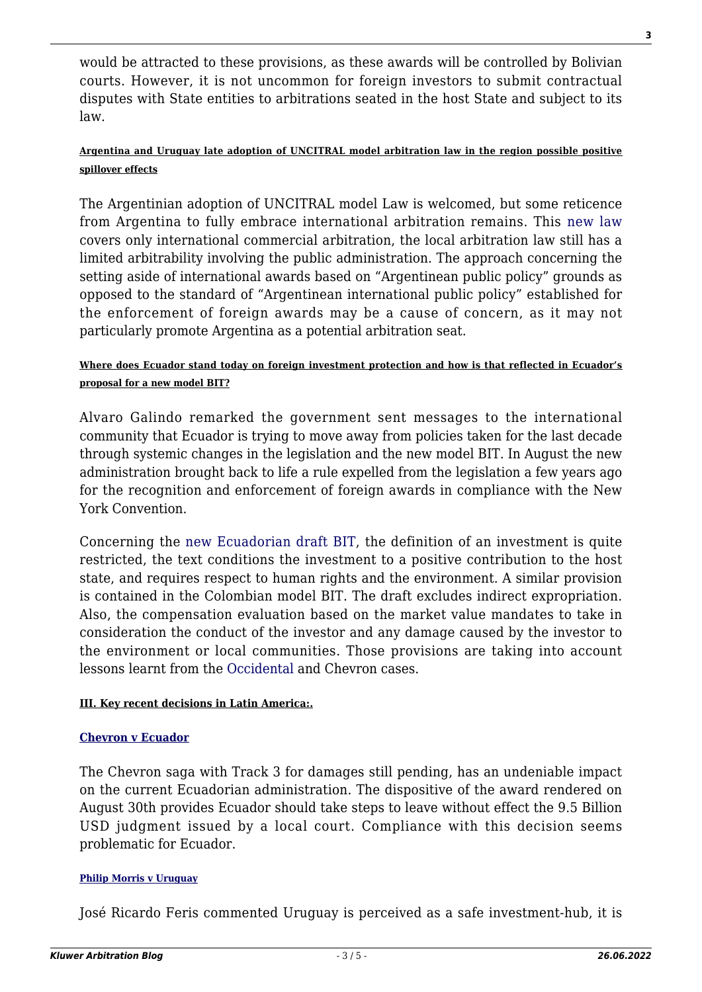would be attracted to these provisions, as these awards will be controlled by Bolivian courts. However, it is not uncommon for foreign investors to submit contractual disputes with State entities to arbitrations seated in the host State and subject to its law.

# **Argentina and Uruguay late adoption of UNCITRAL model arbitration law in the region possible positive spillover effects**

The Argentinian adoption of UNCITRAL model Law is welcomed, but some reticence from Argentina to fully embrace international arbitration remains. This [new law](http://www.senado.gov.ar/parlamentario/comisiones/verExp/228.16/PE/PL) covers only international commercial arbitration, the local arbitration law still has a limited arbitrability involving the public administration. The approach concerning the setting aside of international awards based on "Argentinean public policy" grounds as opposed to the standard of "Argentinean international public policy" established for the enforcement of foreign awards may be a cause of concern, as it may not particularly promote Argentina as a potential arbitration seat.

# **Where does Ecuador stand today on foreign investment protection and how is that reflected in Ecuador's proposal for a new model BIT?**

Alvaro Galindo remarked the government sent messages to the international community that Ecuador is trying to move away from policies taken for the last decade through systemic changes in the legislation and the new model BIT. In August the new administration brought back to life a rule expelled from the legislation a few years ago for the recognition and enforcement of foreign awards in compliance with the New York Convention.

Concerning the [new Ecuadorian draft BIT,](http://arbitrationblog.kluwerarbitration.com//arbitrationblog.kluwerarbitration.com/2018/07/20/new-model-bit-proposed-ecuador-cure-worse-disease/) the definition of an investment is quite restricted, the text conditions the investment to a positive contribution to the host state, and requires respect to human rights and the environment. A similar provision is contained in the Colombian model BIT. The draft excludes indirect expropriation. Also, the compensation evaluation based on the market value mandates to take in consideration the conduct of the investor and any damage caused by the investor to the environment or local communities. Those provisions are taking into account lessons learnt from the [Occidental a](https://www.italaw.com/cases/767)nd Chevron cases.

# **III. Key recent decisions in Latin America:.**

# **[Chevron v Ecuador](https://www.italaw.com/cases/257)**

The Chevron saga with Track 3 for damages still pending, has an undeniable impact on the current Ecuadorian administration. The dispositive of the award rendered on August 30th provides Ecuador should take steps to leave without effect the 9.5 Billion USD judgment issued by a local court. Compliance with this decision seems problematic for Ecuador.

# **[Philip Morris v Uruguay](https://www.italaw.com/cases/460)**

José Ricardo Feris commented Uruguay is perceived as a safe investment-hub, it is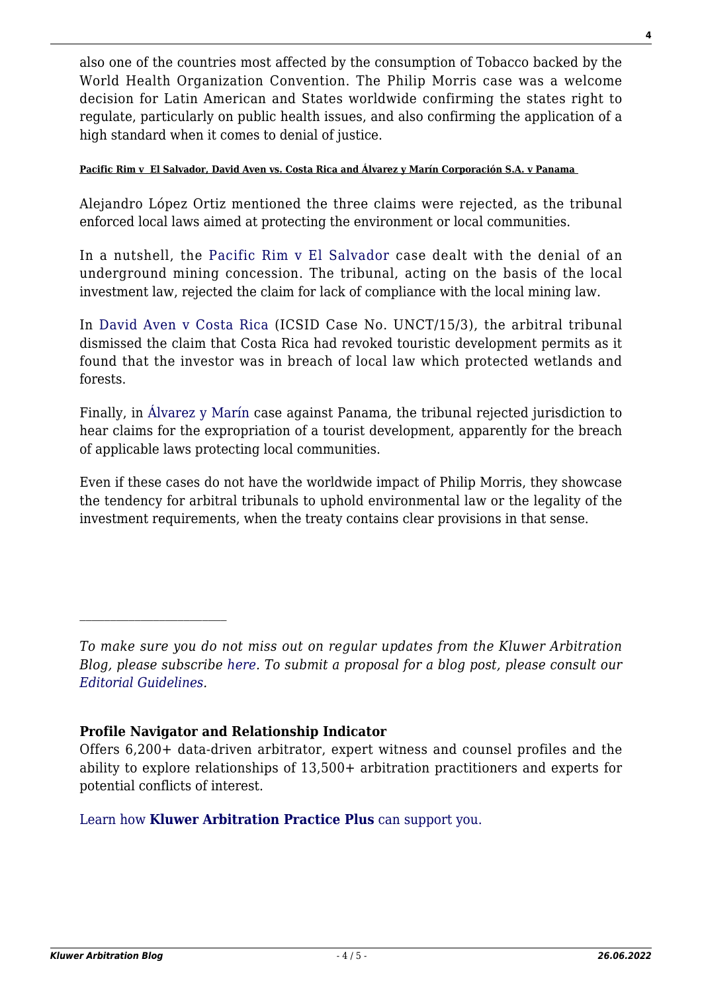also one of the countries most affected by the consumption of Tobacco backed by the World Health Organization Convention. The Philip Morris case was a welcome decision for Latin American and States worldwide confirming the states right to regulate, particularly on public health issues, and also confirming the application of a high standard when it comes to denial of justice.

### **Pacific Rim v El Salvador, David Aven vs. Costa Rica and Álvarez y Marín Corporación S.A. v Panama**

Alejandro López Ortiz mentioned the three claims were rejected, as the tribunal enforced local laws aimed at protecting the environment or local communities.

In a nutshell, the [Pacific Rim v El Salvador](http://arbitrationblog.kluwerarbitration.com//icsid.worldbank.org/en/Pages/cases/casedetail.aspx?CaseNo=ARB%2f09%2f12) case dealt with the denial of an underground mining concession. The tribunal, acting on the basis of the local investment law, rejected the claim for lack of compliance with the local mining law.

In [David Aven v Costa Rica](http://arbitrationblog.kluwerarbitration.com//icsid.worldbank.org/en/Pages/cases/casedetail.aspx?CaseNo=UNCT%2f15%2f3) (ICSID Case No. UNCT/15/3), the arbitral tribunal dismissed the claim that Costa Rica had revoked touristic development permits as it found that the investor was in breach of local law which protected wetlands and forests.

Finally, in [Álvarez y Marín](http://arbitrationblog.kluwerarbitration.com//icsid.worldbank.org/en/Pages/cases/casedetail.aspx?CaseNo=ARB%2f15%2f14) case against Panama, the tribunal rejected jurisdiction to hear claims for the expropriation of a tourist development, apparently for the breach of applicable laws protecting local communities.

Even if these cases do not have the worldwide impact of Philip Morris, they showcase the tendency for arbitral tribunals to uphold environmental law or the legality of the investment requirements, when the treaty contains clear provisions in that sense.

*To make sure you do not miss out on regular updates from the Kluwer Arbitration Blog, please subscribe [here](http://arbitrationblog.kluwerarbitration.com/newsletter/). To submit a proposal for a blog post, please consult our [Editorial Guidelines.](http://arbitrationblog.kluwerarbitration.com/editorial-guidelines/)*

# **Profile Navigator and Relationship Indicator**

Offers 6,200+ data-driven arbitrator, expert witness and counsel profiles and the ability to explore relationships of 13,500+ arbitration practitioners and experts for potential conflicts of interest.

[Learn how](https://www.wolterskluwer.com/en/solutions/kluwerarbitration/practiceplus?utm_source=arbitrationblog&utm_medium=articleCTA&utm_campaign=article-banner) **[Kluwer Arbitration Practice Plus](https://www.wolterskluwer.com/en/solutions/kluwerarbitration/practiceplus?utm_source=arbitrationblog&utm_medium=articleCTA&utm_campaign=article-banner)** [can support you.](https://www.wolterskluwer.com/en/solutions/kluwerarbitration/practiceplus?utm_source=arbitrationblog&utm_medium=articleCTA&utm_campaign=article-banner)

**4**